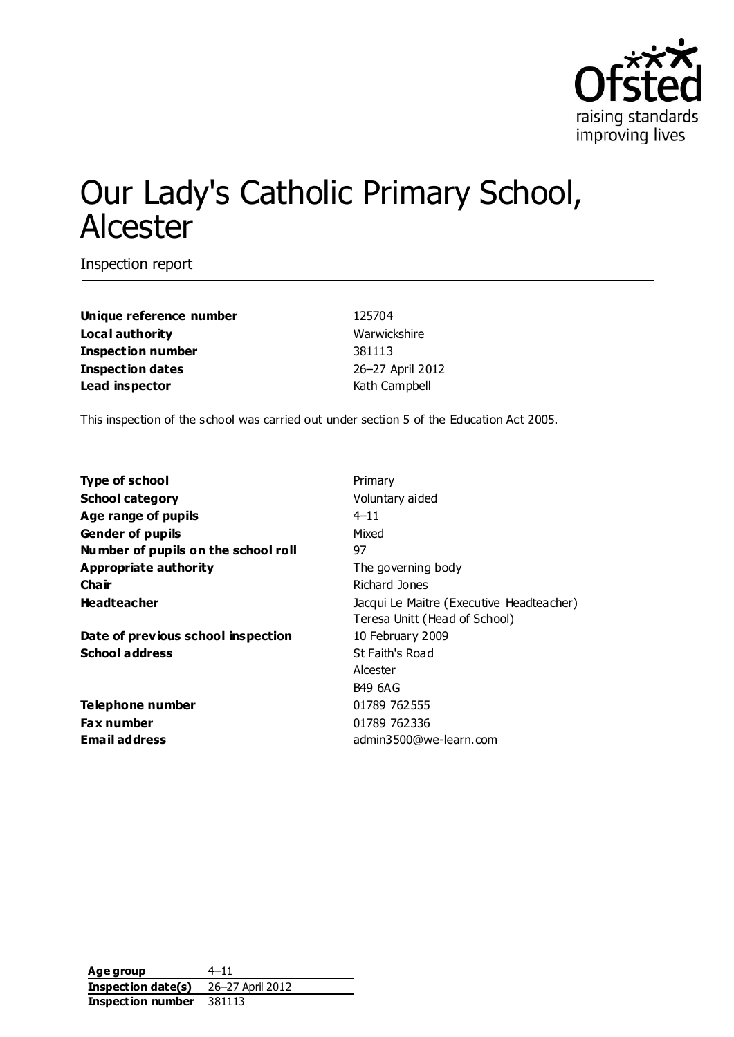

# Our Lady's Catholic Primary School, Alcester

Inspection report

**Unique reference number** 125704 **Local authority** Warwickshire **Inspection number** 381113 **Inspection dates** 26–27 April 2012 **Lead inspector** Kath Campbell

This inspection of the school was carried out under section 5 of the Education Act 2005.

| <b>Type of school</b>               |                                          |
|-------------------------------------|------------------------------------------|
|                                     | Primary                                  |
| <b>School category</b>              | Voluntary aided                          |
| Age range of pupils                 | $4 - 11$                                 |
| <b>Gender of pupils</b>             | Mixed                                    |
| Number of pupils on the school roll | 97                                       |
| Appropriate authority               | The governing body                       |
| Cha ir                              | Richard Jones                            |
| <b>Headteacher</b>                  | Jacqui Le Maitre (Executive Headteacher) |
|                                     | Teresa Unitt (Head of School)            |
| Date of previous school inspection  | 10 February 2009                         |
| <b>School address</b>               | St Faith's Road                          |
|                                     | Alcester                                 |
|                                     | <b>B49 6AG</b>                           |
| Telephone number                    | 01789 762555                             |
| <b>Fax number</b>                   | 01789 762336                             |
| <b>Email address</b>                | admin3500@we-learn.com                   |
|                                     |                                          |

**Age group** 4–11 **Inspection date(s)** 26–27 April 2012 **Inspection number** 381113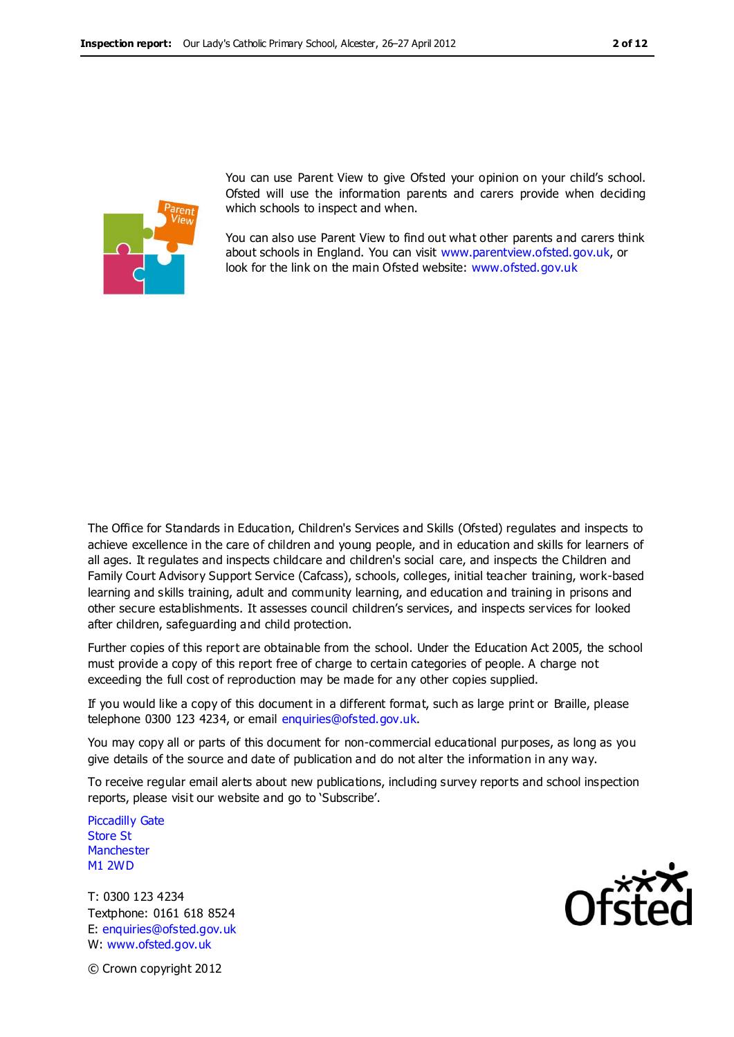

You can use Parent View to give Ofsted your opinion on your child's school. Ofsted will use the information parents and carers provide when deciding which schools to inspect and when.

You can also use Parent View to find out what other parents and carers think about schools in England. You can visit [www.parentview.ofsted.gov.uk,](http://www.parentview.ofsted.gov.uk/) or look for the link on the main Ofsted website: [www.ofsted.gov.uk](http://www.ofsted.gov.uk/)

The Office for Standards in Education, Children's Services and Skills (Ofsted) regulates and inspects to achieve excellence in the care of children and young people, and in education and skills for learners of all ages. It regulates and inspects childcare and children's social care, and inspects the Children and Family Court Advisory Support Service (Cafcass), schools, colleges, initial teacher training, work-based learning and skills training, adult and community learning, and education and training in prisons and other secure establishments. It assesses council children's services, and inspects services for looked after children, safeguarding and child protection.

Further copies of this report are obtainable from the school. Under the Education Act 2005, the school must provide a copy of this report free of charge to certain categories of people. A charge not exceeding the full cost of reproduction may be made for any other copies supplied.

If you would like a copy of this document in a different format, such as large print or Braille, please telephone 0300 123 4234, or email enquiries@ofsted.gov.uk.

You may copy all or parts of this document for non-commercial educational purposes, as long as you give details of the source and date of publication and do not alter the information in any way.

To receive regular email alerts about new publications, including survey reports and school inspection reports, please visit our website and go to 'Subscribe'.

Piccadilly Gate Store St **Manchester** M1 2WD

T: 0300 123 4234 Textphone: 0161 618 8524 E: enquiries@ofsted.gov.uk W: www.ofsted.gov.uk



© Crown copyright 2012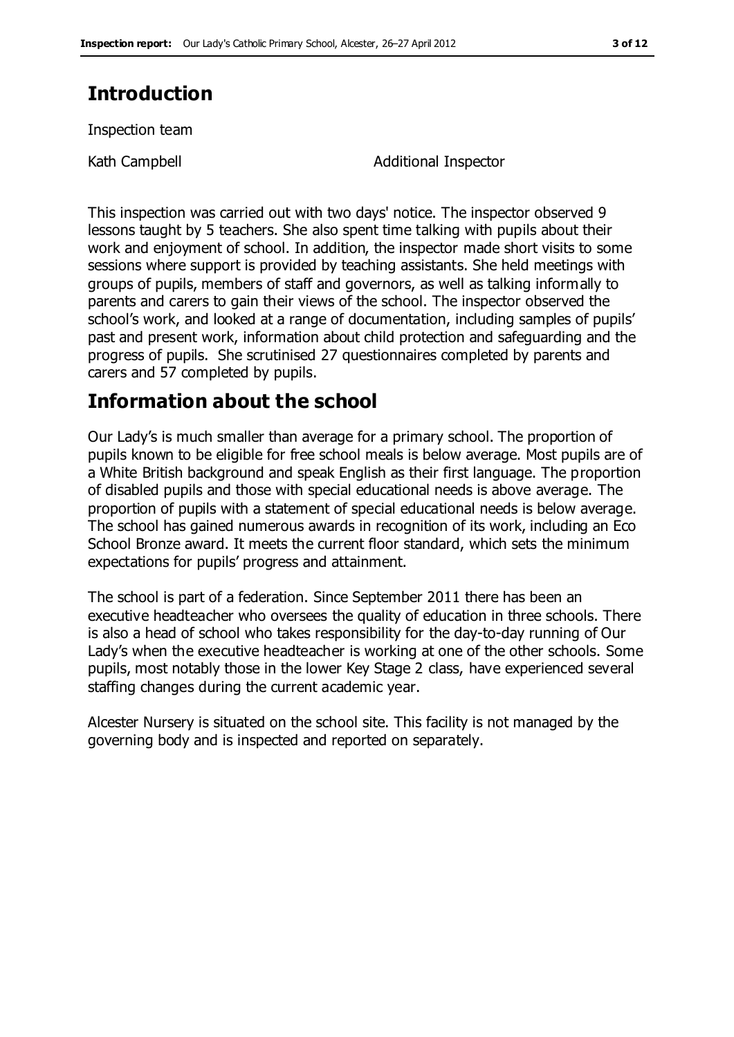### **Introduction**

Inspection team

Kath Campbell **Additional Inspector** 

This inspection was carried out with two days' notice. The inspector observed 9 lessons taught by 5 teachers. She also spent time talking with pupils about their work and enjoyment of school. In addition, the inspector made short visits to some sessions where support is provided by teaching assistants. She held meetings with groups of pupils, members of staff and governors, as well as talking informally to parents and carers to gain their views of the school. The inspector observed the school's work, and looked at a range of documentation, including samples of pupils' past and present work, information about child protection and safeguarding and the progress of pupils. She scrutinised 27 questionnaires completed by parents and carers and 57 completed by pupils.

### **Information about the school**

Our Lady's is much smaller than average for a primary school. The proportion of pupils known to be eligible for free school meals is below average. Most pupils are of a White British background and speak English as their first language. The proportion of disabled pupils and those with special educational needs is above average. The proportion of pupils with a statement of special educational needs is below average. The school has gained numerous awards in recognition of its work, including an Eco School Bronze award. It meets the current floor standard, which sets the minimum expectations for pupils' progress and attainment.

The school is part of a federation. Since September 2011 there has been an executive headteacher who oversees the quality of education in three schools. There is also a head of school who takes responsibility for the day-to-day running of Our Lady's when the executive headteacher is working at one of the other schools. Some pupils, most notably those in the lower Key Stage 2 class, have experienced several staffing changes during the current academic year.

Alcester Nursery is situated on the school site. This facility is not managed by the governing body and is inspected and reported on separately.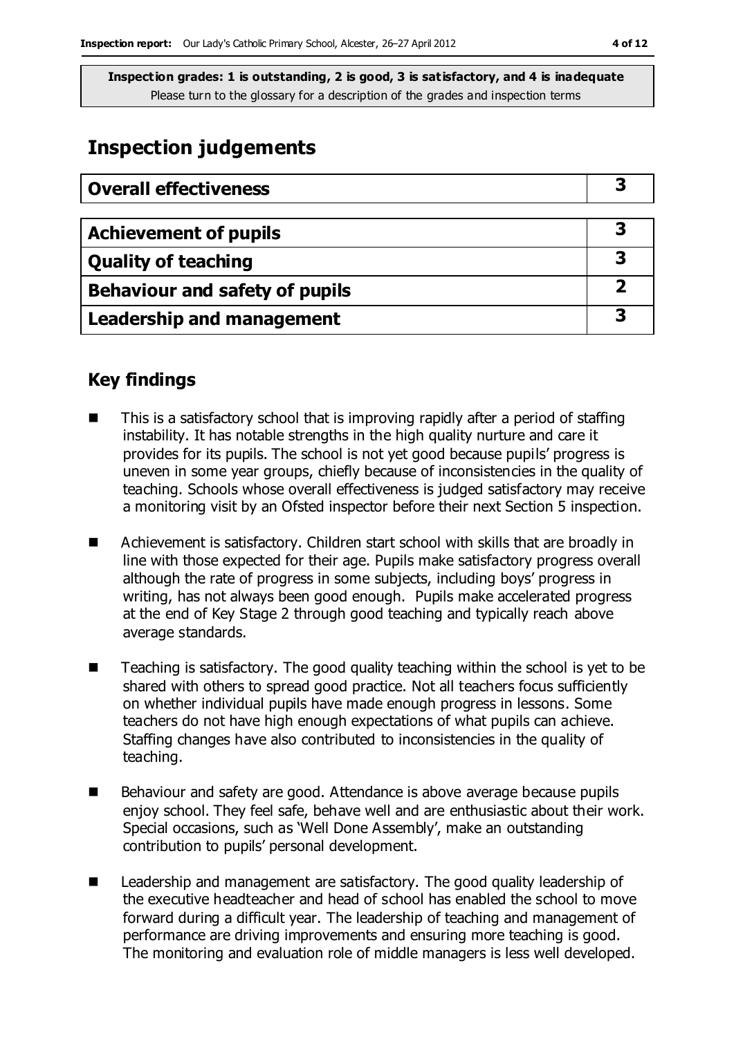### **Inspection judgements**

| <b>Overall effectiveness</b>     |  |
|----------------------------------|--|
|                                  |  |
| <b>Achievement of pupils</b>     |  |
| <b>Quality of teaching</b>       |  |
| Behaviour and safety of pupils   |  |
| <b>Leadership and management</b> |  |

### **Key findings**

- This is a satisfactory school that is improving rapidly after a period of staffing instability. It has notable strengths in the high quality nurture and care it provides for its pupils. The school is not yet good because pupils' progress is uneven in some year groups, chiefly because of inconsistencies in the quality of teaching. Schools whose overall effectiveness is judged satisfactory may receive a monitoring visit by an Ofsted inspector before their next Section 5 inspection.
- Achievement is satisfactory. Children start school with skills that are broadly in line with those expected for their age. Pupils make satisfactory progress overall although the rate of progress in some subjects, including boys' progress in writing, has not always been good enough. Pupils make accelerated progress at the end of Key Stage 2 through good teaching and typically reach above average standards.
- Teaching is satisfactory. The good quality teaching within the school is yet to be shared with others to spread good practice. Not all teachers focus sufficiently on whether individual pupils have made enough progress in lessons. Some teachers do not have high enough expectations of what pupils can achieve. Staffing changes have also contributed to inconsistencies in the quality of teaching.
- Behaviour and safety are good. Attendance is above average because pupils enjoy school. They feel safe, behave well and are enthusiastic about their work. Special occasions, such as 'Well Done Assembly', make an outstanding contribution to pupils' personal development.
- Leadership and management are satisfactory. The good quality leadership of the executive headteacher and head of school has enabled the school to move forward during a difficult year. The leadership of teaching and management of performance are driving improvements and ensuring more teaching is good. The monitoring and evaluation role of middle managers is less well developed.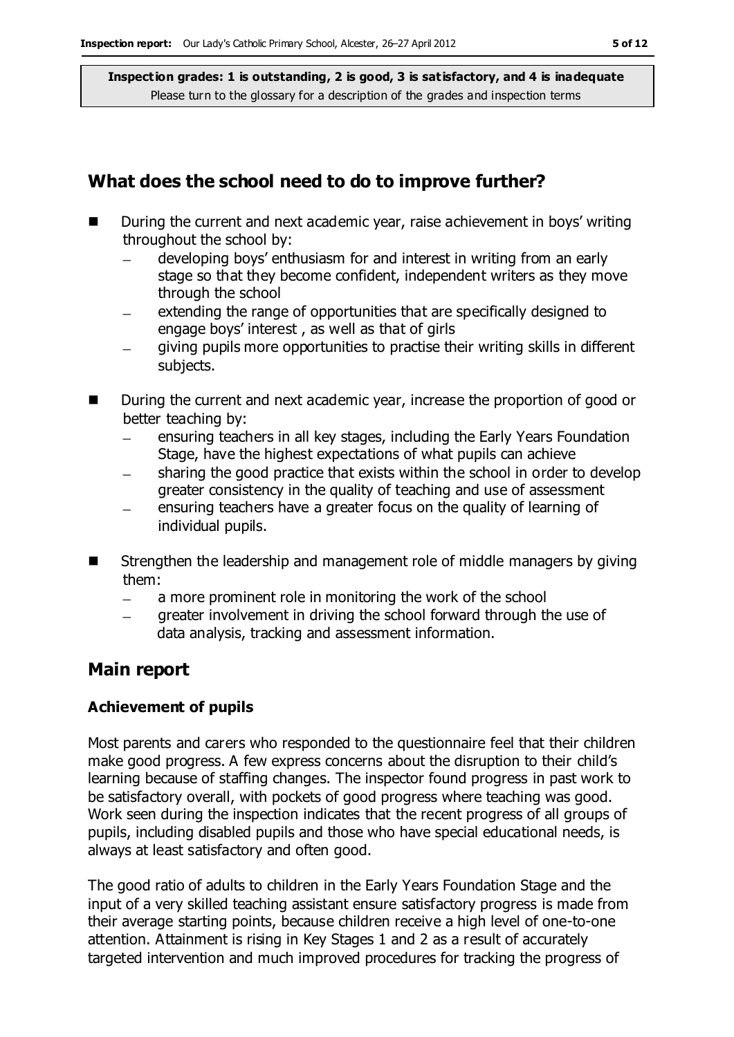### **What does the school need to do to improve further?**

- During the current and next academic year, raise achievement in boys' writing throughout the school by:
	- developing boys' enthusiasm for and interest in writing from an early  $\equiv$ stage so that they become confident, independent writers as they move through the school
	- extending the range of opportunities that are specifically designed to  $\overline{\phantom{0}}$ engage boys' interest , as well as that of girls
	- giving pupils more opportunities to practise their writing skills in different  $\equiv$ subjects.
- During the current and next academic year, increase the proportion of good or better teaching by:
	- ensuring teachers in all key stages, including the Early Years Foundation  $\equiv$ Stage, have the highest expectations of what pupils can achieve
	- sharing the good practice that exists within the school in order to develop greater consistency in the quality of teaching and use of assessment
	- ensuring teachers have a greater focus on the quality of learning of individual pupils.
- Strengthen the leadership and management role of middle managers by giving them:
	- $\equiv$ a more prominent role in monitoring the work of the school
	- greater involvement in driving the school forward through the use of data analysis, tracking and assessment information.

### **Main report**

#### **Achievement of pupils**

Most parents and carers who responded to the questionnaire feel that their children make good progress. A few express concerns about the disruption to their child's learning because of staffing changes. The inspector found progress in past work to be satisfactory overall, with pockets of good progress where teaching was good. Work seen during the inspection indicates that the recent progress of all groups of pupils, including disabled pupils and those who have special educational needs, is always at least satisfactory and often good.

The good ratio of adults to children in the Early Years Foundation Stage and the input of a very skilled teaching assistant ensure satisfactory progress is made from their average starting points, because children receive a high level of one-to-one attention. Attainment is rising in Key Stages 1 and 2 as a result of accurately targeted intervention and much improved procedures for tracking the progress of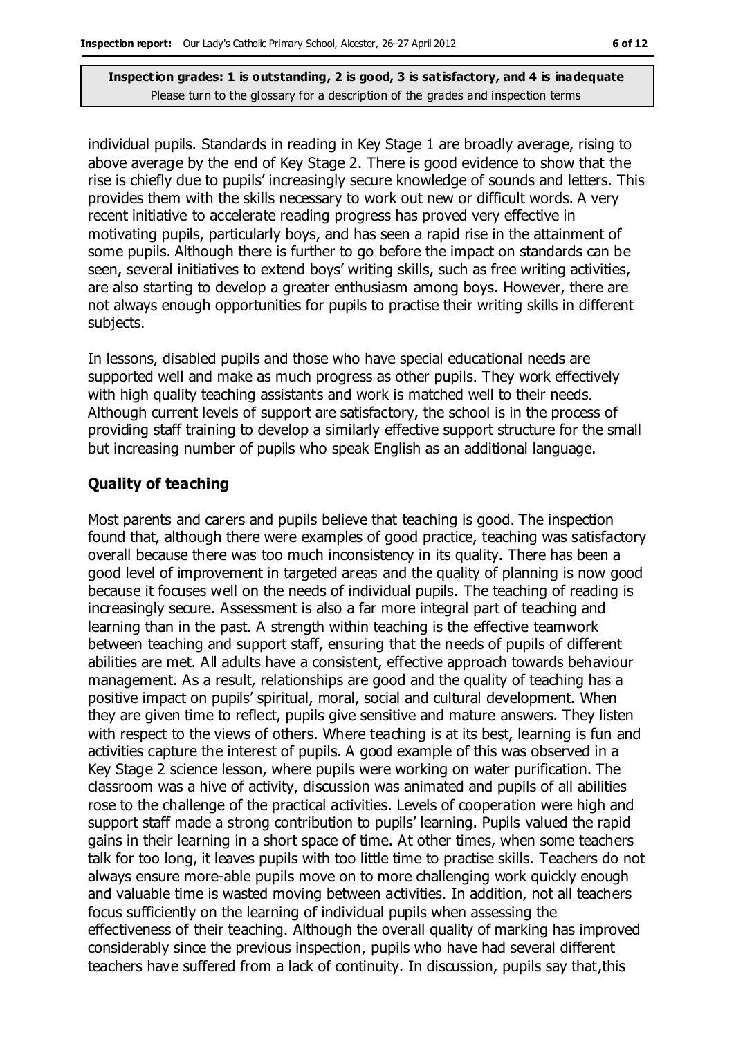individual pupils. Standards in reading in Key Stage 1 are broadly average, rising to above average by the end of Key Stage 2. There is good evidence to show that the rise is chiefly due to pupils' increasingly secure knowledge of sounds and letters. This provides them with the skills necessary to work out new or difficult words. A very recent initiative to accelerate reading progress has proved very effective in motivating pupils, particularly boys, and has seen a rapid rise in the attainment of some pupils. Although there is further to go before the impact on standards can be seen, several initiatives to extend boys' writing skills, such as free writing activities, are also starting to develop a greater enthusiasm among boys. However, there are not always enough opportunities for pupils to practise their writing skills in different subjects.

In lessons, disabled pupils and those who have special educational needs are supported well and make as much progress as other pupils. They work effectively with high quality teaching assistants and work is matched well to their needs. Although current levels of support are satisfactory, the school is in the process of providing staff training to develop a similarly effective support structure for the small but increasing number of pupils who speak English as an additional language.

#### **Quality of teaching**

Most parents and carers and pupils believe that teaching is good. The inspection found that, although there were examples of good practice, teaching was satisfactory overall because there was too much inconsistency in its quality. There has been a good level of improvement in targeted areas and the quality of planning is now good because it focuses well on the needs of individual pupils. The teaching of reading is increasingly secure. Assessment is also a far more integral part of teaching and learning than in the past. A strength within teaching is the effective teamwork between teaching and support staff, ensuring that the needs of pupils of different abilities are met. All adults have a consistent, effective approach towards behaviour management. As a result, relationships are good and the quality of teaching has a positive impact on pupils' spiritual, moral, social and cultural development. When they are given time to reflect, pupils give sensitive and mature answers. They listen with respect to the views of others. Where teaching is at its best, learning is fun and activities capture the interest of pupils. A good example of this was observed in a Key Stage 2 science lesson, where pupils were working on water purification. The classroom was a hive of activity, discussion was animated and pupils of all abilities rose to the challenge of the practical activities. Levels of cooperation were high and support staff made a strong contribution to pupils' learning. Pupils valued the rapid gains in their learning in a short space of time. At other times, when some teachers talk for too long, it leaves pupils with too little time to practise skills. Teachers do not always ensure more-able pupils move on to more challenging work quickly enough and valuable time is wasted moving between activities. In addition, not all teachers focus sufficiently on the learning of individual pupils when assessing the effectiveness of their teaching. Although the overall quality of marking has improved considerably since the previous inspection, pupils who have had several different teachers have suffered from a lack of continuity. In discussion, pupils say that,this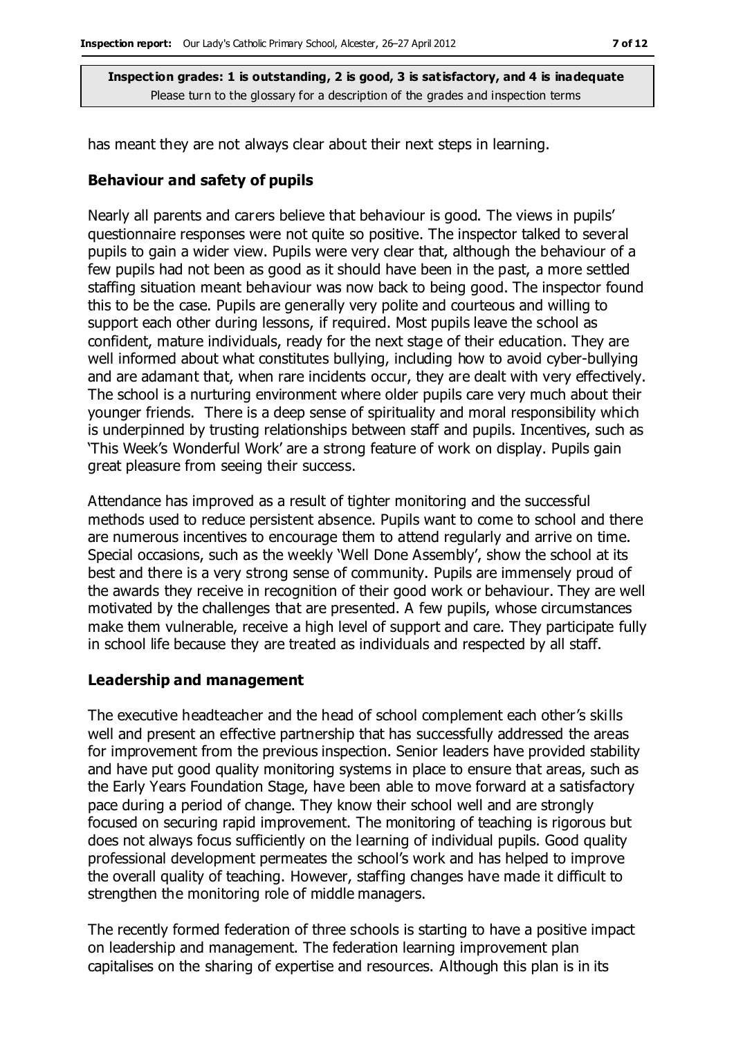has meant they are not always clear about their next steps in learning.

#### **Behaviour and safety of pupils**

Nearly all parents and carers believe that behaviour is good. The views in pupils' questionnaire responses were not quite so positive. The inspector talked to several pupils to gain a wider view. Pupils were very clear that, although the behaviour of a few pupils had not been as good as it should have been in the past, a more settled staffing situation meant behaviour was now back to being good. The inspector found this to be the case. Pupils are generally very polite and courteous and willing to support each other during lessons, if required. Most pupils leave the school as confident, mature individuals, ready for the next stage of their education. They are well informed about what constitutes bullying, including how to avoid cyber-bullying and are adamant that, when rare incidents occur, they are dealt with very effectively. The school is a nurturing environment where older pupils care very much about their younger friends. There is a deep sense of spirituality and moral responsibility which is underpinned by trusting relationships between staff and pupils. Incentives, such as 'This Week's Wonderful Work' are a strong feature of work on display. Pupils gain great pleasure from seeing their success.

Attendance has improved as a result of tighter monitoring and the successful methods used to reduce persistent absence. Pupils want to come to school and there are numerous incentives to encourage them to attend regularly and arrive on time. Special occasions, such as the weekly 'Well Done Assembly', show the school at its best and there is a very strong sense of community. Pupils are immensely proud of the awards they receive in recognition of their good work or behaviour. They are well motivated by the challenges that are presented. A few pupils, whose circumstances make them vulnerable, receive a high level of support and care. They participate fully in school life because they are treated as individuals and respected by all staff.

#### **Leadership and management**

The executive headteacher and the head of school complement each other's skills well and present an effective partnership that has successfully addressed the areas for improvement from the previous inspection. Senior leaders have provided stability and have put good quality monitoring systems in place to ensure that areas, such as the Early Years Foundation Stage, have been able to move forward at a satisfactory pace during a period of change. They know their school well and are strongly focused on securing rapid improvement. The monitoring of teaching is rigorous but does not always focus sufficiently on the learning of individual pupils. Good quality professional development permeates the school's work and has helped to improve the overall quality of teaching. However, staffing changes have made it difficult to strengthen the monitoring role of middle managers.

The recently formed federation of three schools is starting to have a positive impact on leadership and management. The federation learning improvement plan capitalises on the sharing of expertise and resources. Although this plan is in its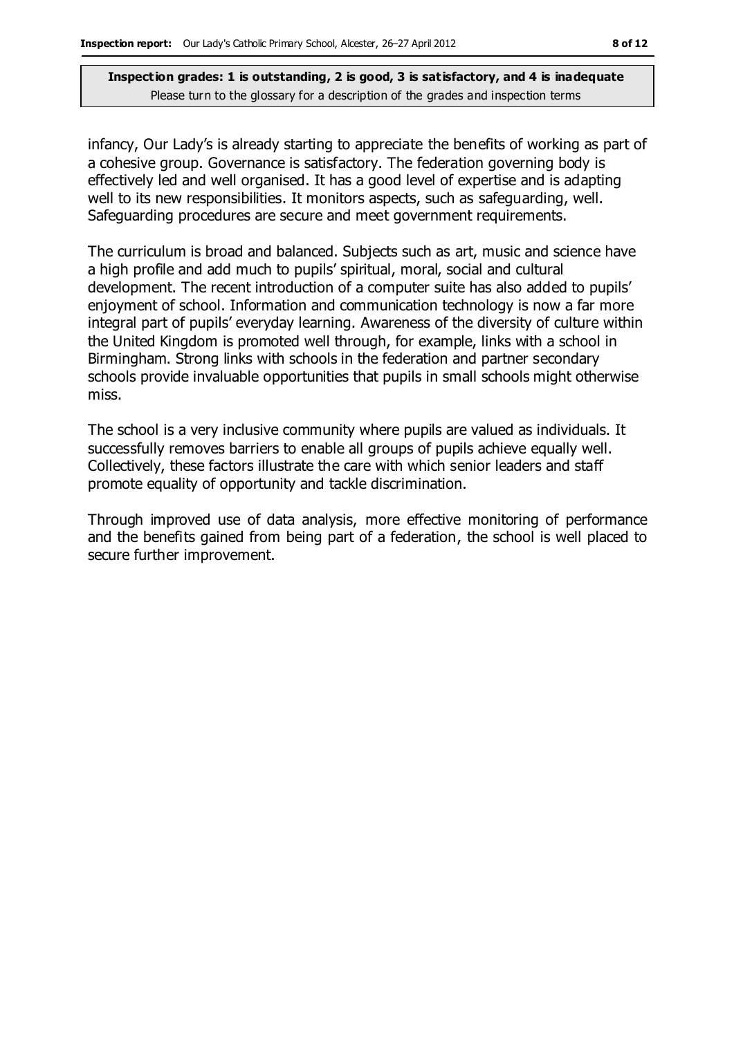infancy, Our Lady's is already starting to appreciate the benefits of working as part of a cohesive group. Governance is satisfactory. The federation governing body is effectively led and well organised. It has a good level of expertise and is adapting well to its new responsibilities. It monitors aspects, such as safeguarding, well. Safeguarding procedures are secure and meet government requirements.

The curriculum is broad and balanced. Subjects such as art, music and science have a high profile and add much to pupils' spiritual, moral, social and cultural development. The recent introduction of a computer suite has also added to pupils' enjoyment of school. Information and communication technology is now a far more integral part of pupils' everyday learning. Awareness of the diversity of culture within the United Kingdom is promoted well through, for example, links with a school in Birmingham. Strong links with schools in the federation and partner secondary schools provide invaluable opportunities that pupils in small schools might otherwise miss.

The school is a very inclusive community where pupils are valued as individuals. It successfully removes barriers to enable all groups of pupils achieve equally well. Collectively, these factors illustrate the care with which senior leaders and staff promote equality of opportunity and tackle discrimination.

Through improved use of data analysis, more effective monitoring of performance and the benefits gained from being part of a federation, the school is well placed to secure further improvement.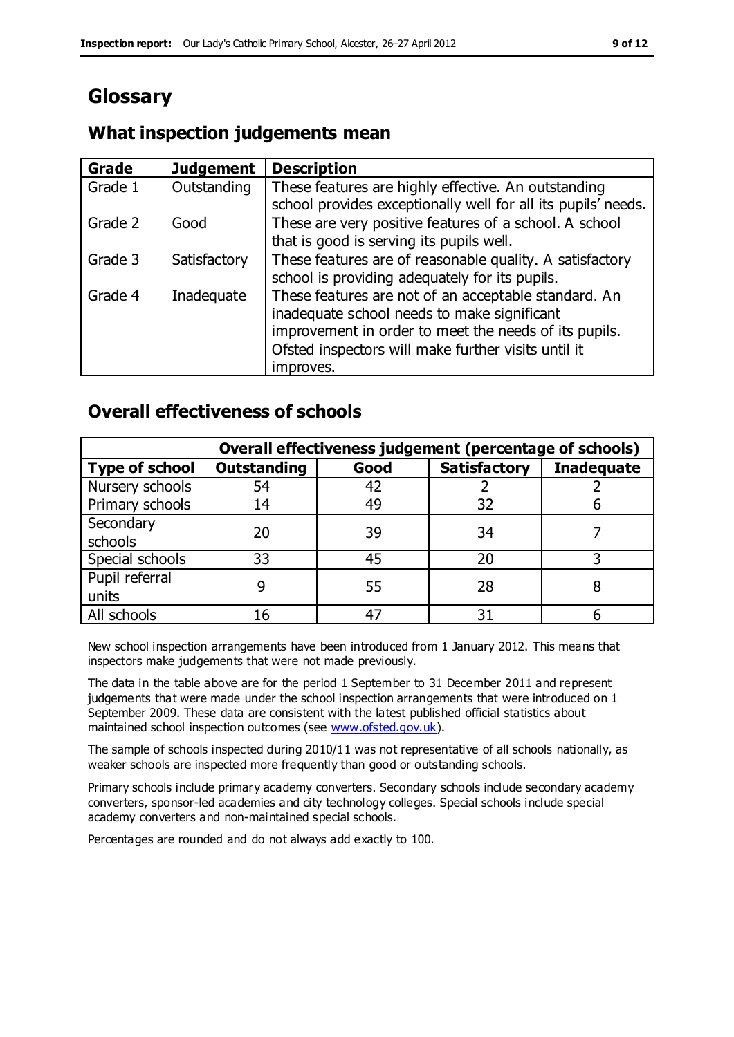٦

### **Glossary**

# **What inspection judgements mean Grade Judgement Description**

| Grage   | <b>Juagement</b> | <b>Description</b>                                            |
|---------|------------------|---------------------------------------------------------------|
| Grade 1 | Outstanding      | These features are highly effective. An outstanding           |
|         |                  | school provides exceptionally well for all its pupils' needs. |
| Grade 2 | Good             | These are very positive features of a school. A school        |
|         |                  | that is good is serving its pupils well.                      |
| Grade 3 | Satisfactory     | These features are of reasonable quality. A satisfactory      |
|         |                  | school is providing adequately for its pupils.                |
| Grade 4 | Inadequate       | These features are not of an acceptable standard. An          |
|         |                  | inadequate school needs to make significant                   |
|         |                  | improvement in order to meet the needs of its pupils.         |
|         |                  | Ofsted inspectors will make further visits until it           |
|         |                  | improves.                                                     |

### **Overall effectiveness of schools**

|                       | Overall effectiveness judgement (percentage of schools) |      |                     |                   |
|-----------------------|---------------------------------------------------------|------|---------------------|-------------------|
| <b>Type of school</b> | <b>Outstanding</b>                                      | Good | <b>Satisfactory</b> | <b>Inadequate</b> |
| Nursery schools       | 54                                                      | 42   |                     |                   |
| Primary schools       | 14                                                      | 49   | 32                  |                   |
| Secondary             | 20                                                      | 39   | 34                  |                   |
| schools               |                                                         |      |                     |                   |
| Special schools       | 33                                                      | 45   | 20                  |                   |
| Pupil referral        |                                                         | 55   | 28                  |                   |
| units                 |                                                         |      |                     |                   |
| All schools           | 16                                                      | 47   | 31                  |                   |

New school inspection arrangements have been introduced from 1 January 2012. This means that inspectors make judgements that were not made previously.

The data in the table above are for the period 1 September to 31 December 2011 and represent judgements that were made under the school inspection arrangements that were introduced on 1 September 2009. These data are consistent with the latest published official statistics about maintained school inspection outcomes (see [www.ofsted.gov.uk\)](http://www.ofsted.gov.uk/).

The sample of schools inspected during 2010/11 was not representative of all schools nationally, as weaker schools are inspected more frequently than good or outstanding schools.

Primary schools include primary academy converters. Secondary schools include secondary academy converters, sponsor-led academies and city technology colleges. Special schools include special academy converters and non-maintained special schools.

Percentages are rounded and do not always add exactly to 100.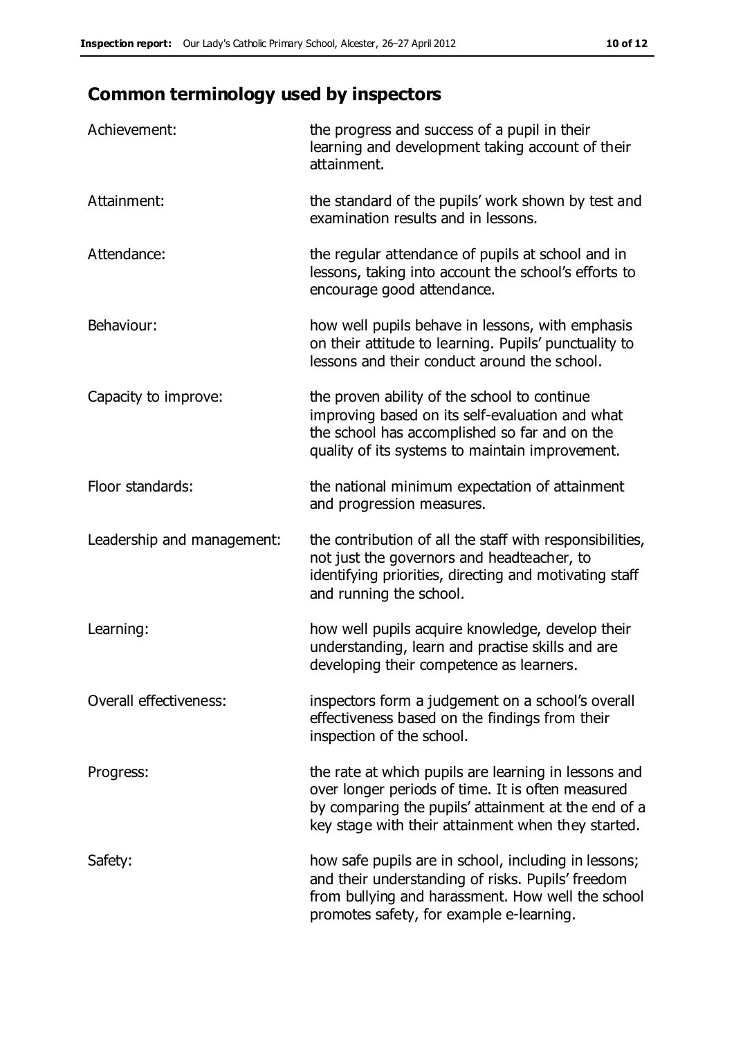## **Common terminology used by inspectors**

| Achievement:               | the progress and success of a pupil in their<br>learning and development taking account of their<br>attainment.                                                                                                        |
|----------------------------|------------------------------------------------------------------------------------------------------------------------------------------------------------------------------------------------------------------------|
| Attainment:                | the standard of the pupils' work shown by test and<br>examination results and in lessons.                                                                                                                              |
| Attendance:                | the regular attendance of pupils at school and in<br>lessons, taking into account the school's efforts to<br>encourage good attendance.                                                                                |
| Behaviour:                 | how well pupils behave in lessons, with emphasis<br>on their attitude to learning. Pupils' punctuality to<br>lessons and their conduct around the school.                                                              |
| Capacity to improve:       | the proven ability of the school to continue<br>improving based on its self-evaluation and what<br>the school has accomplished so far and on the<br>quality of its systems to maintain improvement.                    |
| Floor standards:           | the national minimum expectation of attainment<br>and progression measures.                                                                                                                                            |
| Leadership and management: | the contribution of all the staff with responsibilities,<br>not just the governors and headteacher, to<br>identifying priorities, directing and motivating staff<br>and running the school.                            |
| Learning:                  | how well pupils acquire knowledge, develop their<br>understanding, learn and practise skills and are<br>developing their competence as learners.                                                                       |
| Overall effectiveness:     | inspectors form a judgement on a school's overall<br>effectiveness based on the findings from their<br>inspection of the school.                                                                                       |
| Progress:                  | the rate at which pupils are learning in lessons and<br>over longer periods of time. It is often measured<br>by comparing the pupils' attainment at the end of a<br>key stage with their attainment when they started. |
| Safety:                    | how safe pupils are in school, including in lessons;<br>and their understanding of risks. Pupils' freedom<br>from bullying and harassment. How well the school<br>promotes safety, for example e-learning.             |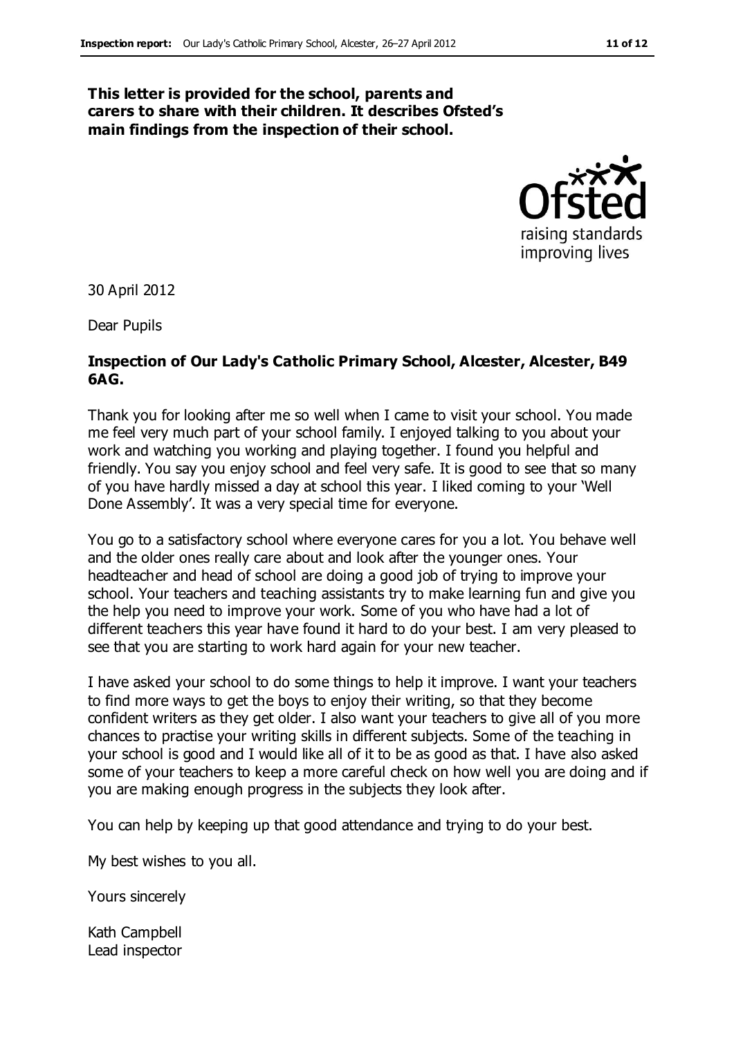#### **This letter is provided for the school, parents and carers to share with their children. It describes Ofsted's main findings from the inspection of their school.**



30 April 2012

Dear Pupils

#### **Inspection of Our Lady's Catholic Primary School, Alcester, Alcester, B49 6AG.**

Thank you for looking after me so well when I came to visit your school. You made me feel very much part of your school family. I enjoyed talking to you about your work and watching you working and playing together. I found you helpful and friendly. You say you enjoy school and feel very safe. It is good to see that so many of you have hardly missed a day at school this year. I liked coming to your 'Well Done Assembly'. It was a very special time for everyone.

You go to a satisfactory school where everyone cares for you a lot. You behave well and the older ones really care about and look after the younger ones. Your headteacher and head of school are doing a good job of trying to improve your school. Your teachers and teaching assistants try to make learning fun and give you the help you need to improve your work. Some of you who have had a lot of different teachers this year have found it hard to do your best. I am very pleased to see that you are starting to work hard again for your new teacher.

I have asked your school to do some things to help it improve. I want your teachers to find more ways to get the boys to enjoy their writing, so that they become confident writers as they get older. I also want your teachers to give all of you more chances to practise your writing skills in different subjects. Some of the teaching in your school is good and I would like all of it to be as good as that. I have also asked some of your teachers to keep a more careful check on how well you are doing and if you are making enough progress in the subjects they look after.

You can help by keeping up that good attendance and trying to do your best.

My best wishes to you all.

Yours sincerely

Kath Campbell Lead inspector